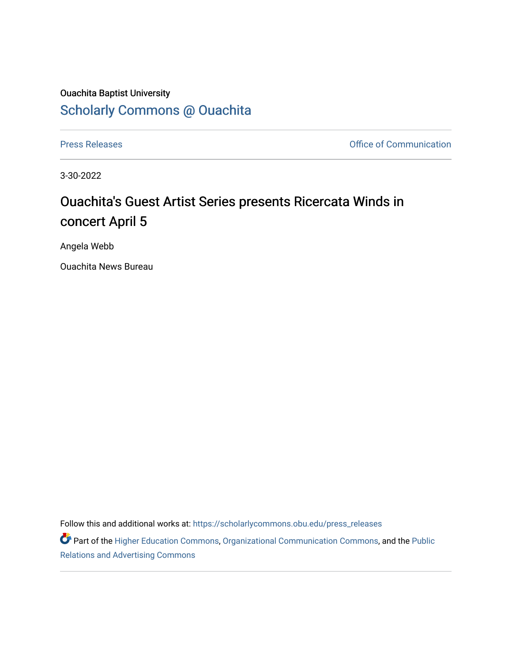## Ouachita Baptist University [Scholarly Commons @ Ouachita](https://scholarlycommons.obu.edu/)

[Press Releases](https://scholarlycommons.obu.edu/press_releases) **Press Releases Communication** 

3-30-2022

## Ouachita's Guest Artist Series presents Ricercata Winds in concert April 5

Angela Webb

Ouachita News Bureau

Follow this and additional works at: [https://scholarlycommons.obu.edu/press\\_releases](https://scholarlycommons.obu.edu/press_releases?utm_source=scholarlycommons.obu.edu%2Fpress_releases%2F1075&utm_medium=PDF&utm_campaign=PDFCoverPages)

Part of the [Higher Education Commons,](http://network.bepress.com/hgg/discipline/1245?utm_source=scholarlycommons.obu.edu%2Fpress_releases%2F1075&utm_medium=PDF&utm_campaign=PDFCoverPages) [Organizational Communication Commons,](http://network.bepress.com/hgg/discipline/335?utm_source=scholarlycommons.obu.edu%2Fpress_releases%2F1075&utm_medium=PDF&utm_campaign=PDFCoverPages) and the [Public](http://network.bepress.com/hgg/discipline/336?utm_source=scholarlycommons.obu.edu%2Fpress_releases%2F1075&utm_medium=PDF&utm_campaign=PDFCoverPages) [Relations and Advertising Commons](http://network.bepress.com/hgg/discipline/336?utm_source=scholarlycommons.obu.edu%2Fpress_releases%2F1075&utm_medium=PDF&utm_campaign=PDFCoverPages)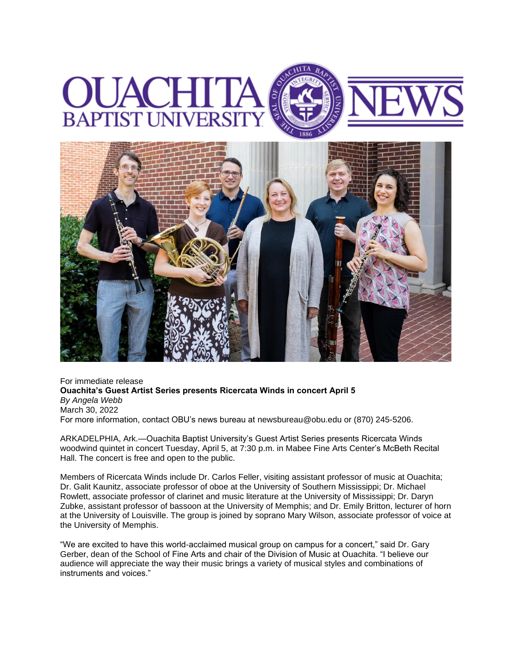



For immediate release **Ouachita's Guest Artist Series presents Ricercata Winds in concert April 5** *By Angela Webb* March 30, 2022 For more information, contact OBU's news bureau at [newsbureau@obu.edu](mailto:newsbureau@obu.edu) or (870) 245-5206.

ARKADELPHIA, Ark.—Ouachita Baptist University's Guest Artist Series presents Ricercata Winds woodwind quintet in concert Tuesday, April 5, at 7:30 p.m. in Mabee Fine Arts Center's McBeth Recital Hall. The concert is free and open to the public.

Members of Ricercata Winds include Dr. Carlos Feller, visiting assistant professor of music at Ouachita; Dr. Galit Kaunitz, associate professor of oboe at the University of Southern Mississippi; Dr. Michael Rowlett, associate professor of clarinet and music literature at the University of Mississippi; Dr. Daryn Zubke, assistant professor of bassoon at the University of Memphis; and Dr. Emily Britton, lecturer of horn at the University of Louisville. The group is joined by soprano Mary Wilson, associate professor of voice at the University of Memphis.

"We are excited to have this world-acclaimed musical group on campus for a concert," said Dr. Gary Gerber, dean of the School of Fine Arts and chair of the Division of Music at Ouachita. "I believe our audience will appreciate the way their music brings a variety of musical styles and combinations of instruments and voices."